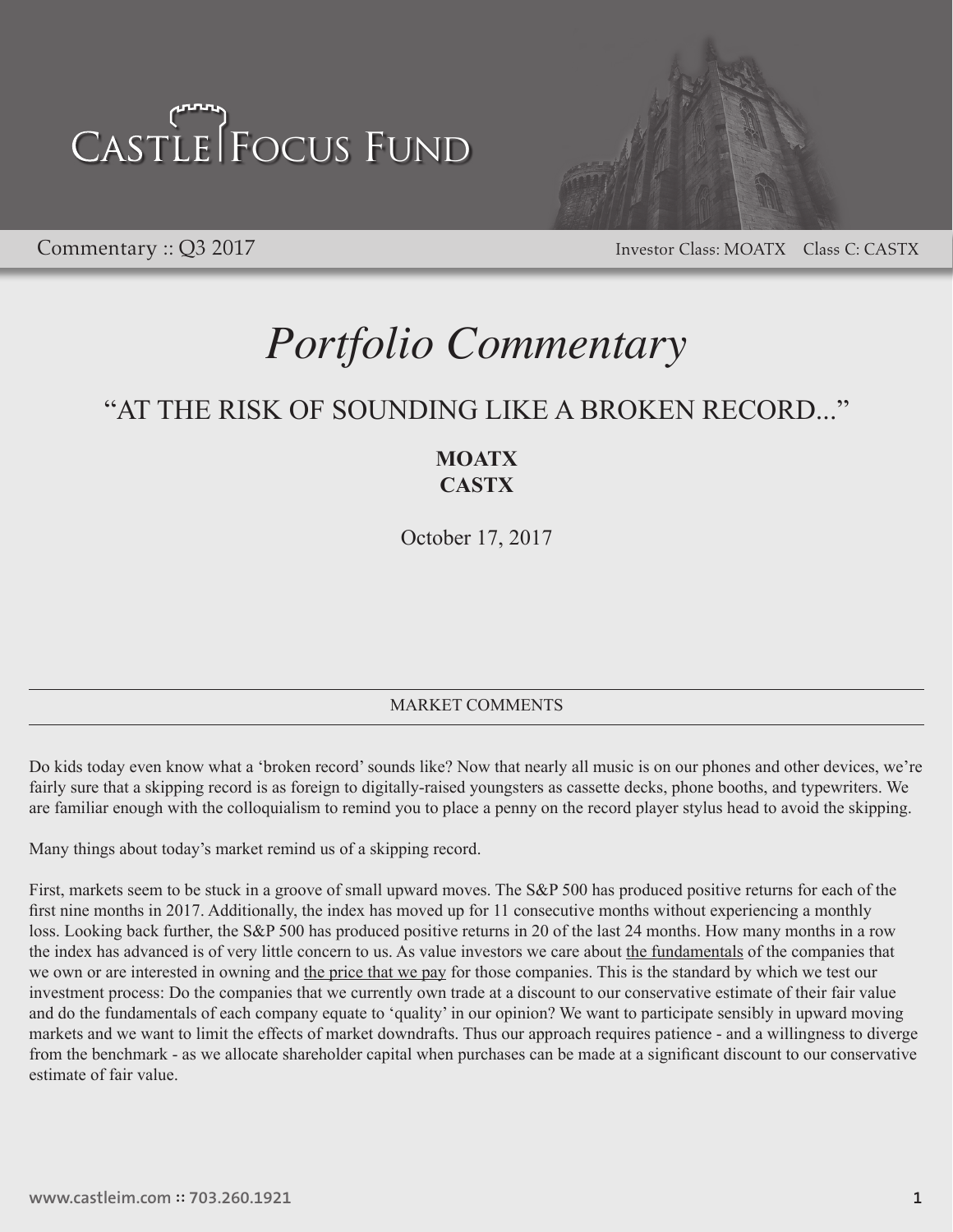

Commentary :: Q3 2017 Commentary :: Q3 2017

### *Portfolio Commentary*

### "AT THE RISK OF SOUNDING LIKE A BROKEN RECORD..."

### **MOATX CASTX**

October 17, 2017

#### MARKET COMMENTS

Do kids today even know what a 'broken record' sounds like? Now that nearly all music is on our phones and other devices, we're fairly sure that a skipping record is as foreign to digitally-raised youngsters as cassette decks, phone booths, and typewriters. We are familiar enough with the colloquialism to remind you to place a penny on the record player stylus head to avoid the skipping.

Many things about today's market remind us of a skipping record.

First, markets seem to be stuck in a groove of small upward moves. The S&P 500 has produced positive returns for each of the first nine months in 2017. Additionally, the index has moved up for 11 consecutive months without experiencing a monthly loss. Looking back further, the S&P 500 has produced positive returns in 20 of the last 24 months. How many months in a row the index has advanced is of very little concern to us. As value investors we care about the fundamentals of the companies that we own or are interested in owning and the price that we pay for those companies. This is the standard by which we test our investment process: Do the companies that we currently own trade at a discount to our conservative estimate of their fair value and do the fundamentals of each company equate to 'quality' in our opinion? We want to participate sensibly in upward moving markets and we want to limit the effects of market downdrafts. Thus our approach requires patience - and a willingness to diverge from the benchmark - as we allocate shareholder capital when purchases can be made at a significant discount to our conservative estimate of fair value.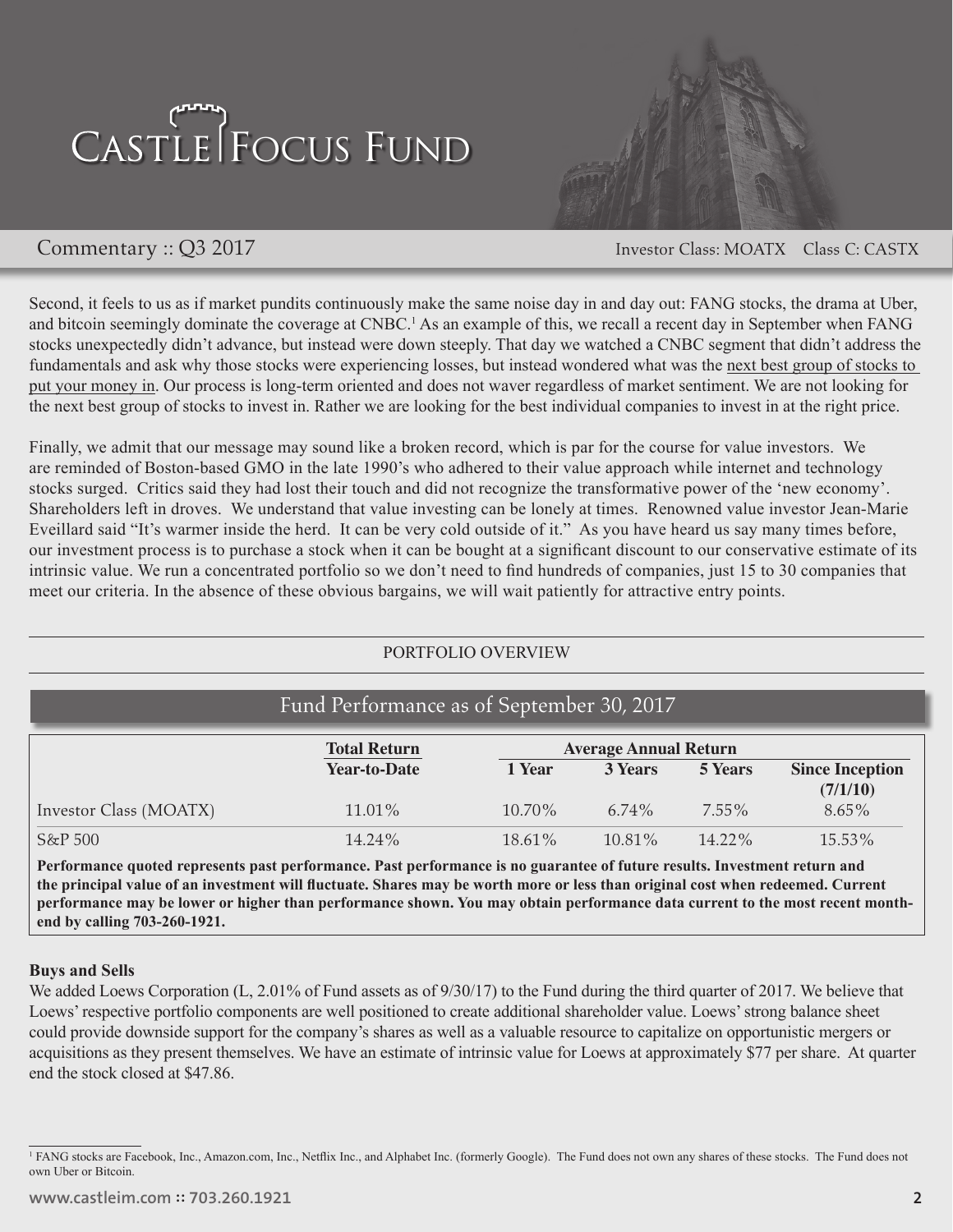

Commentary :: Q3 2017 Commentary :: Q3 2017

Second, it feels to us as if market pundits continuously make the same noise day in and day out: FANG stocks, the drama at Uber, and bitcoin seemingly dominate the coverage at CNBC.<sup>1</sup> As an example of this, we recall a recent day in September when FANG stocks unexpectedly didn't advance, but instead were down steeply. That day we watched a CNBC segment that didn't address the fundamentals and ask why those stocks were experiencing losses, but instead wondered what was the next best group of stocks to put your money in. Our process is long-term oriented and does not waver regardless of market sentiment. We are not looking for the next best group of stocks to invest in. Rather we are looking for the best individual companies to invest in at the right price.

Finally, we admit that our message may sound like a broken record, which is par for the course for value investors. We are reminded of Boston-based GMO in the late 1990's who adhered to their value approach while internet and technology stocks surged. Critics said they had lost their touch and did not recognize the transformative power of the 'new economy'. Shareholders left in droves. We understand that value investing can be lonely at times. Renowned value investor Jean-Marie Eveillard said "It's warmer inside the herd. It can be very cold outside of it." As you have heard us say many times before, our investment process is to purchase a stock when it can be bought at a significant discount to our conservative estimate of its intrinsic value. We run a concentrated portfolio so we don't need to find hundreds of companies, just 15 to 30 companies that meet our criteria. In the absence of these obvious bargains, we will wait patiently for attractive entry points.

#### PORTFOLIO OVERVIEW

| Fund Performance as of September 30, 2017                                                                                 |                     |                              |                |                |                        |
|---------------------------------------------------------------------------------------------------------------------------|---------------------|------------------------------|----------------|----------------|------------------------|
|                                                                                                                           | <b>Total Return</b> | <b>Average Annual Return</b> |                |                |                        |
|                                                                                                                           | <b>Year-to-Date</b> | 1 Year                       | <b>3 Years</b> | <b>5 Years</b> | <b>Since Inception</b> |
| Investor Class (MOATX)                                                                                                    | 11.01%              | 10.70%                       | $6.74\%$       | $7.55\%$       | (7/1/10)<br>$8.65\%$   |
| S&P 500                                                                                                                   | 14.24%              | $18.61\%$                    | $10.81\%$      | $14.22\%$      | 15.53%                 |
| Performance quoted represents past performance. Past performance is no guarantee of future results. Investment return and |                     |                              |                |                |                        |

**the principal value of an investment will fluctuate. Shares may be worth more or less than original cost when redeemed. Current performance may be lower or higher than performance shown. You may obtain performance data current to the most recent monthend by calling 703-260-1921.** 

#### **Buys and Sells**

We added Loews Corporation (L, 2.01% of Fund assets as of 9/30/17) to the Fund during the third quarter of 2017. We believe that Loews' respective portfolio components are well positioned to create additional shareholder value. Loews' strong balance sheet could provide downside support for the company's shares as well as a valuable resource to capitalize on opportunistic mergers or acquisitions as they present themselves. We have an estimate of intrinsic value for Loews at approximately \$77 per share. At quarter end the stock closed at \$47.86.

<sup>&</sup>lt;sup>1</sup> FANG stocks are Facebook, Inc., Amazon.com, Inc., Netflix Inc., and Alphabet Inc. (formerly Google). The Fund does not own any shares of these stocks. The Fund does not own Uber or Bitcoin.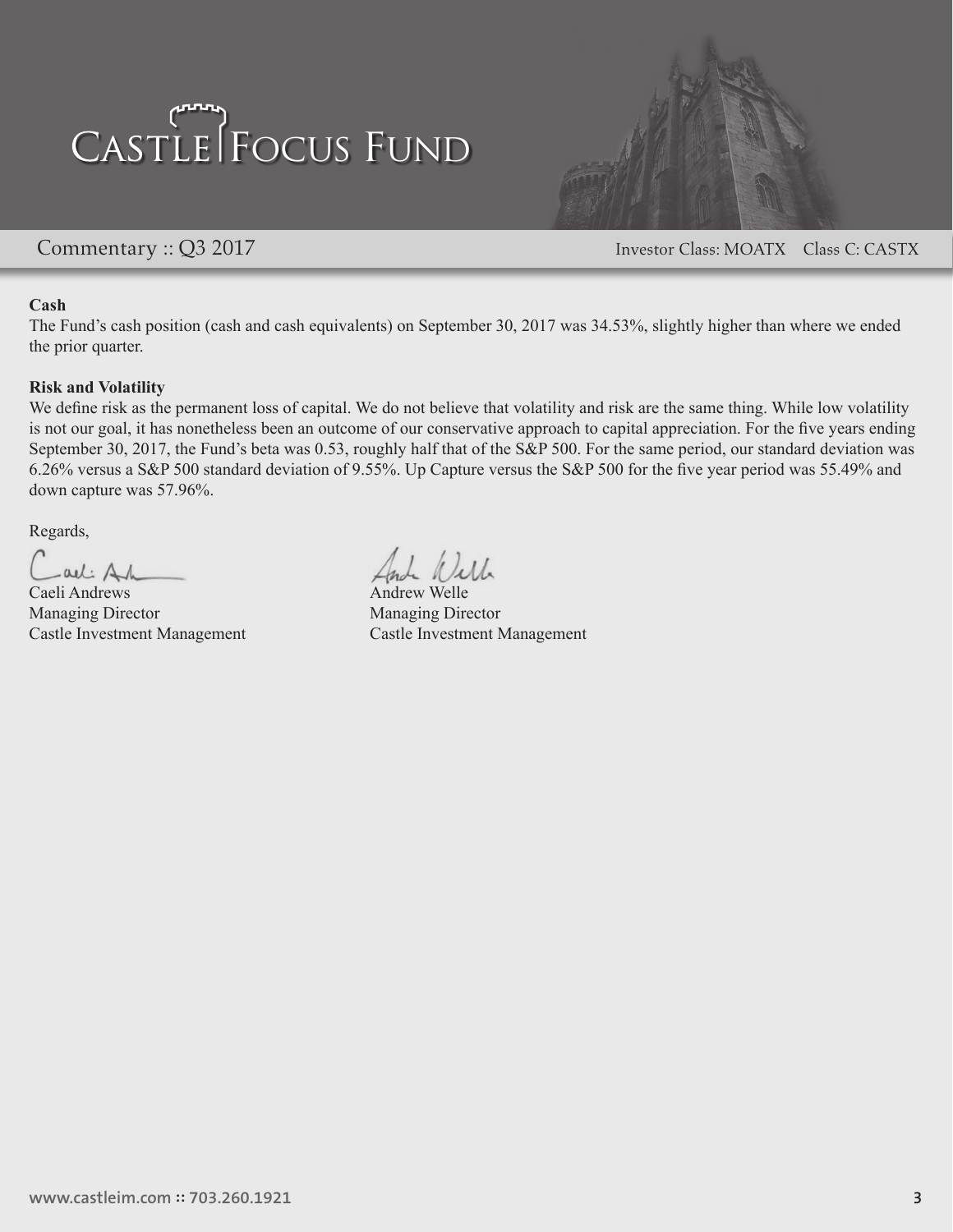

Commentary :: Q3 2017 Commentary :: Q3 2017

#### **Cash**

The Fund's cash position (cash and cash equivalents) on September 30, 2017 was 34.53%, slightly higher than where we ended the prior quarter.

#### **Risk and Volatility**

We define risk as the permanent loss of capital. We do not believe that volatility and risk are the same thing. While low volatility is not our goal, it has nonetheless been an outcome of our conservative approach to capital appreciation. For the five years ending September 30, 2017, the Fund's beta was 0.53, roughly half that of the S&P 500. For the same period, our standard deviation was 6.26% versus a S&P 500 standard deviation of 9.55%. Up Capture versus the S&P 500 for the five year period was 55.49% and down capture was 57.96%.

Regards,

all Al

Caeli Andrews Andrew Welle Managing Director Managing Director

Castle Investment Management Castle Investment Management